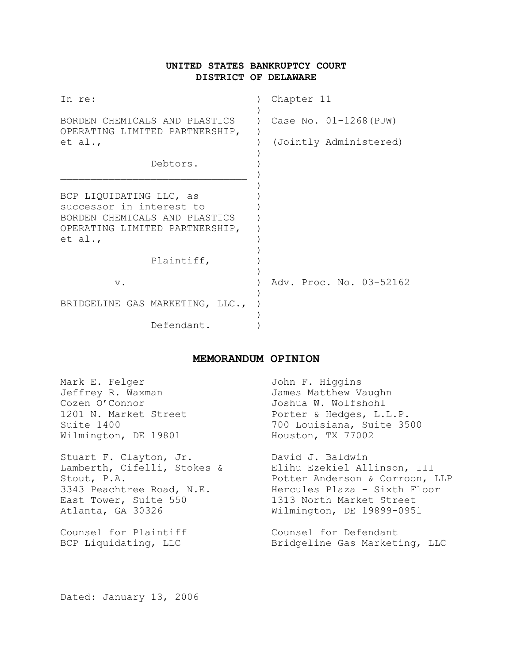# **UNITED STATES BANKRUPTCY COURT DISTRICT OF DELAWARE**

| In re:                                                                                                                            | Chapter 11               |
|-----------------------------------------------------------------------------------------------------------------------------------|--------------------------|
| BORDEN CHEMICALS AND PLASTICS<br>OPERATING LIMITED PARTNERSHIP,<br>et al.,                                                        | Case No. $01-1268$ (PJW) |
|                                                                                                                                   | (Jointly Administered)   |
| Debtors.                                                                                                                          |                          |
| BCP LIQUIDATING LLC, as<br>successor in interest to<br>BORDEN CHEMICALS AND PLASTICS<br>OPERATING LIMITED PARTNERSHIP,<br>et al., |                          |
| Plaintiff,                                                                                                                        |                          |
| $V$ .                                                                                                                             | Adv. Proc. No. 03-52162  |
| BRIDGELINE GAS MARKETING, LLC.,                                                                                                   |                          |
| Defendant.                                                                                                                        |                          |

# **MEMORANDUM OPINION**

| Mark E. Felger              | John F. Higgins                |
|-----------------------------|--------------------------------|
| Jeffrey R. Waxman           | James Matthew Vaughn           |
| Cozen O'Connor              | Joshua W. Wolfshohl            |
| 1201 N. Market Street       | Porter & Hedges, L.L.P.        |
| Suite 1400                  | 700 Louisiana, Suite 3500      |
| Wilmington, DE 19801        | Houston, TX 77002              |
| Stuart F. Clayton, Jr.      | David J. Baldwin               |
| Lamberth, Cifelli, Stokes & | Elihu Ezekiel Allinson, III    |
| Stout, P.A.                 | Potter Anderson & Corroon, LLP |
| 3343 Peachtree Road, N.E.   | Hercules Plaza - Sixth Floor   |
| East Tower, Suite 550       | 1313 North Market Street       |
| Atlanta, GA 30326           | Wilmington, DE 19899-0951      |
| Counsel for Plaintiff       | Counsel for Defendant          |
| BCP Liquidating, LLC        | Bridgeline Gas Marketing, LLC  |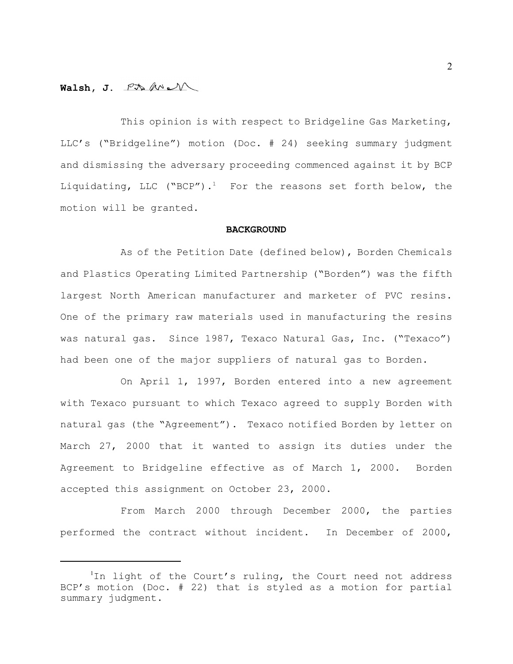## **Walsh, J.**

This opinion is with respect to Bridgeline Gas Marketing, LLC's ("Bridgeline") motion (Doc. # 24) seeking summary judgment and dismissing the adversary proceeding commenced against it by BCP Liquidating, LLC ("BCP").<sup>1</sup> For the reasons set forth below, the motion will be granted.

### **BACKGROUND**

As of the Petition Date (defined below), Borden Chemicals and Plastics Operating Limited Partnership ("Borden") was the fifth largest North American manufacturer and marketer of PVC resins. One of the primary raw materials used in manufacturing the resins was natural gas. Since 1987, Texaco Natural Gas, Inc. ("Texaco") had been one of the major suppliers of natural gas to Borden.

On April 1, 1997, Borden entered into a new agreement with Texaco pursuant to which Texaco agreed to supply Borden with natural gas (the "Agreement"). Texaco notified Borden by letter on March 27, 2000 that it wanted to assign its duties under the Agreement to Bridgeline effective as of March 1, 2000. Borden accepted this assignment on October 23, 2000.

From March 2000 through December 2000, the parties performed the contract without incident. In December of 2000,

 $1$ In light of the Court's ruling, the Court need not address BCP's motion (Doc. # 22) that is styled as a motion for partial summary judgment.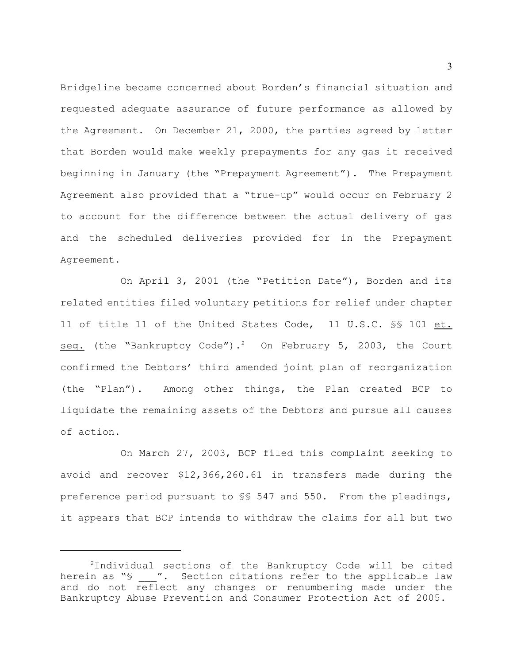Bridgeline became concerned about Borden's financial situation and requested adequate assurance of future performance as allowed by the Agreement. On December 21, 2000, the parties agreed by letter that Borden would make weekly prepayments for any gas it received beginning in January (the "Prepayment Agreement"). The Prepayment Agreement also provided that a "true-up" would occur on February 2 to account for the difference between the actual delivery of gas and the scheduled deliveries provided for in the Prepayment Agreement.

On April 3, 2001 (the "Petition Date"), Borden and its related entities filed voluntary petitions for relief under chapter 11 of title 11 of the United States Code, 11 U.S.C. §§ 101 et. seq. (the "Bankruptcy Code").<sup>2</sup> On February 5, 2003, the Court confirmed the Debtors' third amended joint plan of reorganization (the "Plan"). Among other things, the Plan created BCP to liquidate the remaining assets of the Debtors and pursue all causes of action.

On March 27, 2003, BCP filed this complaint seeking to avoid and recover \$12,366,260.61 in transfers made during the preference period pursuant to §§ 547 and 550. From the pleadings, it appears that BCP intends to withdraw the claims for all but two

 $2$ Individual sections of the Bankruptcy Code will be cited herein as "§  $\cdot$ ". Section citations refer to the applicable law and do not reflect any changes or renumbering made under the Bankruptcy Abuse Prevention and Consumer Protection Act of 2005.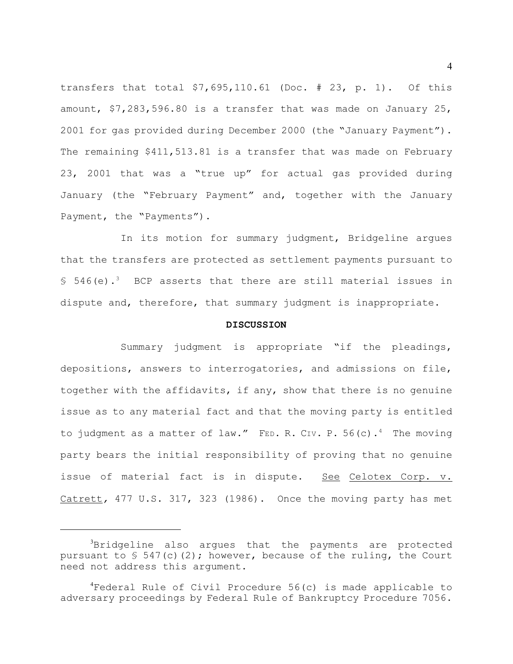transfers that total \$7,695,110.61 (Doc. # 23, p. 1). Of this amount, \$7,283,596.80 is a transfer that was made on January 25, 2001 for gas provided during December 2000 (the "January Payment"). The remaining \$411,513.81 is a transfer that was made on February 23, 2001 that was a "true up" for actual gas provided during January (the "February Payment" and, together with the January Payment, the "Payments").

In its motion for summary judgment, Bridgeline argues that the transfers are protected as settlement payments pursuant to § 546(e).<sup>3</sup> BCP asserts that there are still material issues in dispute and, therefore, that summary judgment is inappropriate.

### **DISCUSSION**

Summary judgment is appropriate "if the pleadings, depositions, answers to interrogatories, and admissions on file, together with the affidavits, if any, show that there is no genuine issue as to any material fact and that the moving party is entitled to judgment as a matter of law." FED. R. CIV. P. 56(c).<sup>4</sup> The moving party bears the initial responsibility of proving that no genuine issue of material fact is in dispute. See Celotex Corp. v. Catrett*,* 477 U.S. 317, 323 (1986). Once the moving party has met

 ${}^{3}$ Bridgeline also argues that the payments are protected pursuant to  $\S$  547(c)(2); however, because of the ruling, the Court need not address this argument.

 ${}^{4}$ Federal Rule of Civil Procedure 56(c) is made applicable to adversary proceedings by Federal Rule of Bankruptcy Procedure 7056.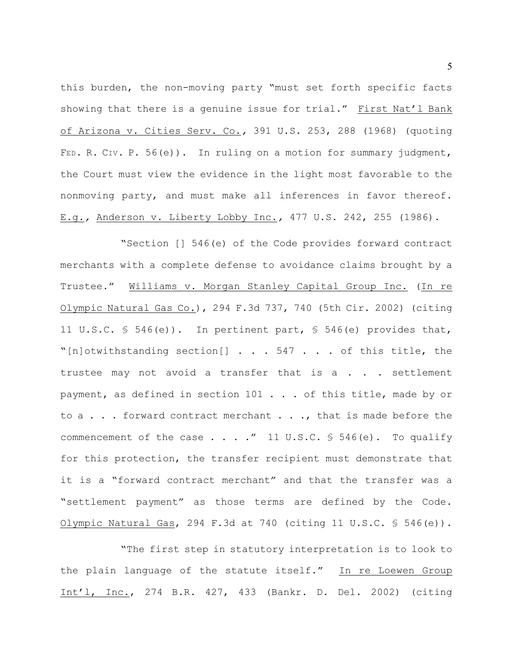this burden, the non-moving party "must set forth specific facts showing that there is a genuine issue for trial." First Nat'l Bank of Arizona v. Cities Serv. Co.*,* 391 U.S. 253, 288 (1968) (quoting FED. R. CIV. P. 56(e)). In ruling on a motion for summary judgment, the Court must view the evidence in the light most favorable to the nonmoving party, and must make all inferences in favor thereof. E.g.*,* Anderson v. Liberty Lobby Inc.*,* 477 U.S. 242, 255 (1986).

"Section [] 546(e) of the Code provides forward contract merchants with a complete defense to avoidance claims brought by a Trustee." Williams v. Morgan Stanley Capital Group Inc. (In re Olympic Natural Gas Co.), 294 F.3d 737, 740 (5th Cir. 2002) (citing 11 U.S.C. § 546(e)). In pertinent part, § 546(e) provides that, "[n]otwithstanding section[] . . . 547 . . . of this title, the trustee may not avoid a transfer that is a . . . settlement payment, as defined in section 101 . . . of this title, made by or to a . . . forward contract merchant . . ., that is made before the commencement of the case  $\ldots$  ... " 11 U.S.C. § 546(e). To qualify for this protection, the transfer recipient must demonstrate that it is a "forward contract merchant" and that the transfer was a "settlement payment" as those terms are defined by the Code. Olympic Natural Gas, 294 F.3d at 740 (citing 11 U.S.C.  $\frac{1}{5}$  546(e)).

"The first step in statutory interpretation is to look to the plain language of the statute itself." In re Loewen Group Int'l, Inc., 274 B.R. 427, 433 (Bankr. D. Del. 2002) (citing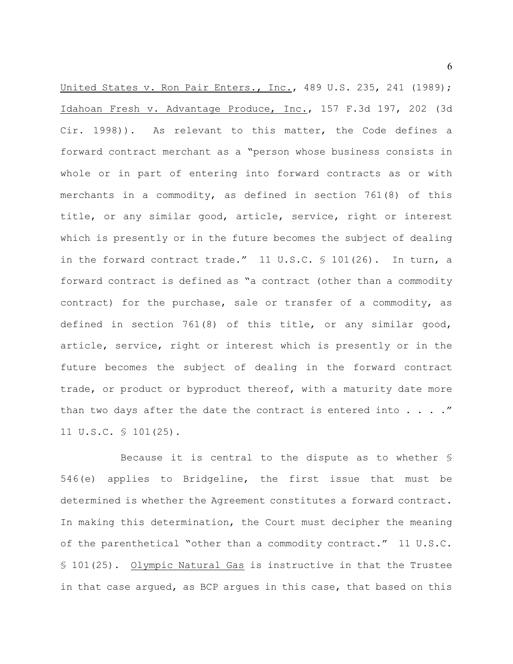United States v. Ron Pair Enters., Inc., 489 U.S. 235, 241 (1989); Idahoan Fresh v. Advantage Produce, Inc., 157 F.3d 197, 202 (3d Cir. 1998)). As relevant to this matter, the Code defines a forward contract merchant as a "person whose business consists in whole or in part of entering into forward contracts as or with merchants in a commodity, as defined in section 761(8) of this title, or any similar good, article, service, right or interest which is presently or in the future becomes the subject of dealing in the forward contract trade."  $11 \text{ U.S.C. }$  \$ 101(26). In turn, a forward contract is defined as "a contract (other than a commodity contract) for the purchase, sale or transfer of a commodity, as defined in section 761(8) of this title, or any similar good, article, service, right or interest which is presently or in the future becomes the subject of dealing in the forward contract trade, or product or byproduct thereof, with a maturity date more than two days after the date the contract is entered into  $\ldots$ ." 11 U.S.C. § 101(25).

Because it is central to the dispute as to whether § 546(e) applies to Bridgeline, the first issue that must be determined is whether the Agreement constitutes a forward contract. In making this determination, the Court must decipher the meaning of the parenthetical "other than a commodity contract." 11 U.S.C. § 101(25). Olympic Natural Gas is instructive in that the Trustee in that case argued, as BCP argues in this case, that based on this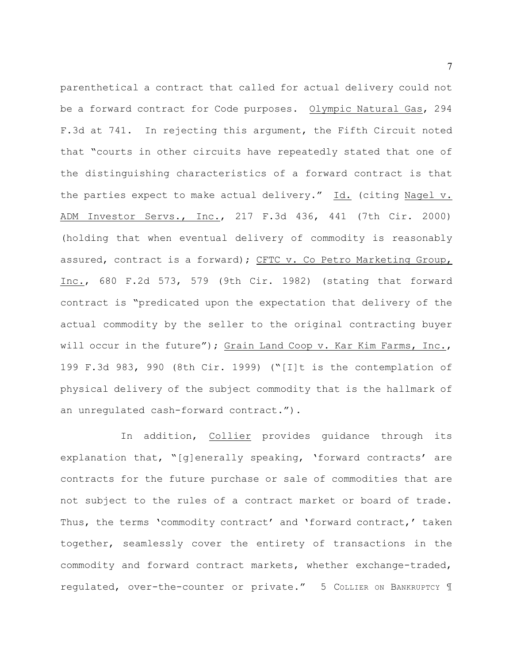parenthetical a contract that called for actual delivery could not be a forward contract for Code purposes. Olympic Natural Gas, 294 F.3d at 741. In rejecting this argument, the Fifth Circuit noted that "courts in other circuits have repeatedly stated that one of the distinguishing characteristics of a forward contract is that the parties expect to make actual delivery." Id. (citing Nagel v. ADM Investor Servs., Inc., 217 F.3d 436, 441 (7th Cir. 2000) (holding that when eventual delivery of commodity is reasonably assured, contract is a forward); CFTC v. Co Petro Marketing Group, Inc., 680 F.2d 573, 579 (9th Cir. 1982) (stating that forward contract is "predicated upon the expectation that delivery of the actual commodity by the seller to the original contracting buyer will occur in the future"); Grain Land Coop v. Kar Kim Farms, Inc., 199 F.3d 983, 990 (8th Cir. 1999) ("[I]t is the contemplation of physical delivery of the subject commodity that is the hallmark of an unregulated cash-forward contract.").

In addition, Collier provides guidance through its explanation that, "[g]enerally speaking, 'forward contracts' are contracts for the future purchase or sale of commodities that are not subject to the rules of a contract market or board of trade. Thus, the terms 'commodity contract' and 'forward contract,' taken together, seamlessly cover the entirety of transactions in the commodity and forward contract markets, whether exchange-traded, regulated, over-the-counter or private." 5 COLLIER ON BANKRUPTCY 1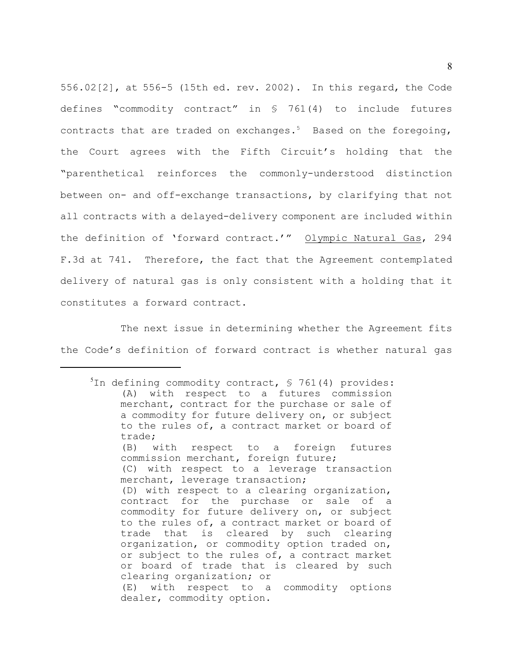556.02[2], at 556-5 (15th ed. rev. 2002). In this regard, the Code defines "commodity contract" in § 761(4) to include futures contracts that are traded on exchanges.<sup>5</sup> Based on the foregoing, the Court agrees with the Fifth Circuit's holding that the "parenthetical reinforces the commonly-understood distinction between on- and off-exchange transactions, by clarifying that not all contracts with a delayed-delivery component are included within the definition of 'forward contract.'" Olympic Natural Gas, 294 F.3d at 741. Therefore, the fact that the Agreement contemplated delivery of natural gas is only consistent with a holding that it constitutes a forward contract.

The next issue in determining whether the Agreement fits the Code's definition of forward contract is whether natural gas

 $10$  in defining commodity contract,  $\sqrt{5}$  761(4) provides: (A) with respect to a futures commission merchant, contract for the purchase or sale of a commodity for future delivery on, or subject to the rules of, a contract market or board of trade; (B) with respect to a foreign futures commission merchant, foreign future; (C) with respect to a leverage transaction merchant, leverage transaction; (D) with respect to a clearing organization, contract for the purchase or sale of a commodity for future delivery on, or subject to the rules of, a contract market or board of trade that is cleared by such clearing organization, or commodity option traded on, or subject to the rules of, a contract market or board of trade that is cleared by such clearing organization; or (E) with respect to a commodity options dealer, commodity option.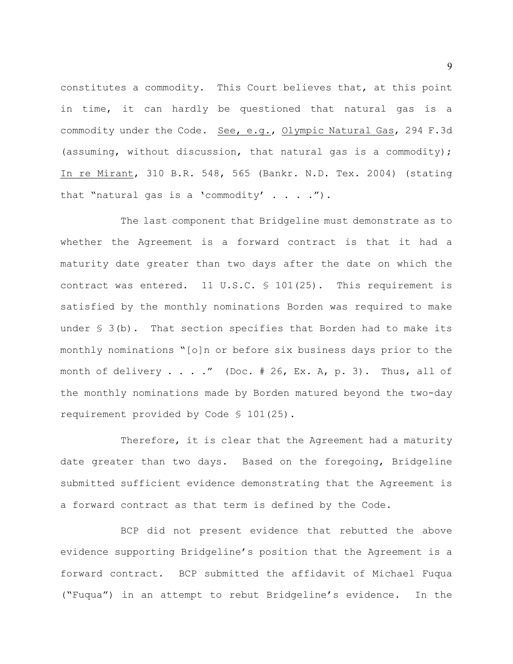constitutes a commodity. This Court believes that, at this point in time, it can hardly be questioned that natural gas is a commodity under the Code. See, e.g., Olympic Natural Gas, 294 F.3d (assuming, without discussion, that natural gas is a commodity); In re Mirant, 310 B.R. 548, 565 (Bankr. N.D. Tex. 2004) (stating that "natural gas is a 'commodity'  $\ldots$  .").

The last component that Bridgeline must demonstrate as to whether the Agreement is a forward contract is that it had a maturity date greater than two days after the date on which the contract was entered. 11 U.S.C.  $\frac{1}{2}$  101(25). This requirement is satisfied by the monthly nominations Borden was required to make under  $\S$  3(b). That section specifies that Borden had to make its monthly nominations "[o]n or before six business days prior to the month of delivery  $\ldots$  ." (Doc. # 26, Ex. A, p. 3). Thus, all of the monthly nominations made by Borden matured beyond the two-day requirement provided by Code § 101(25).

Therefore, it is clear that the Agreement had a maturity date greater than two days. Based on the foregoing, Bridgeline submitted sufficient evidence demonstrating that the Agreement is a forward contract as that term is defined by the Code.

BCP did not present evidence that rebutted the above evidence supporting Bridgeline's position that the Agreement is a forward contract. BCP submitted the affidavit of Michael Fuqua ("Fuqua") in an attempt to rebut Bridgeline's evidence. In the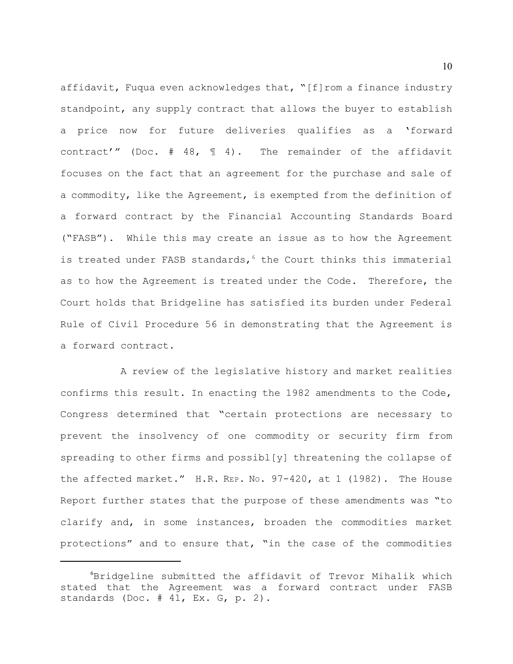affidavit, Fuqua even acknowledges that, "[f]rom a finance industry standpoint, any supply contract that allows the buyer to establish a price now for future deliveries qualifies as a 'forward contract'" (Doc.  $# 48,$   $14$ ). The remainder of the affidavit focuses on the fact that an agreement for the purchase and sale of a commodity, like the Agreement, is exempted from the definition of a forward contract by the Financial Accounting Standards Board ("FASB"). While this may create an issue as to how the Agreement is treated under FASB standards,  $6$  the Court thinks this immaterial as to how the Agreement is treated under the Code. Therefore, the Court holds that Bridgeline has satisfied its burden under Federal Rule of Civil Procedure 56 in demonstrating that the Agreement is a forward contract.

A review of the legislative history and market realities confirms this result. In enacting the 1982 amendments to the Code, Congress determined that "certain protections are necessary to prevent the insolvency of one commodity or security firm from spreading to other firms and possibl[y] threatening the collapse of the affected market." H.R. REP. No. 97-420, at 1 (1982). The House Report further states that the purpose of these amendments was "to clarify and, in some instances, broaden the commodities market protections" and to ensure that, "in the case of the commodities

 $6$ Bridgeline submitted the affidavit of Trevor Mihalik which stated that the Agreement was a forward contract under FASB standards (Doc. # 41, Ex. G, p. 2).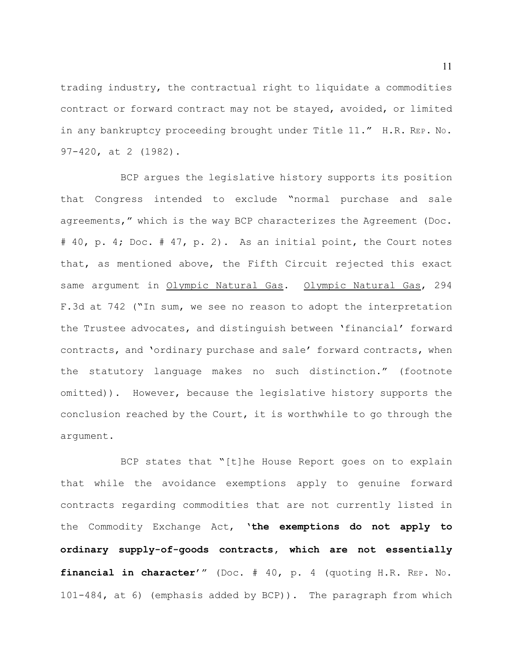trading industry, the contractual right to liquidate a commodities contract or forward contract may not be stayed, avoided, or limited in any bankruptcy proceeding brought under Title 11." H.R. REP. NO. 97-420, at 2 (1982).

BCP argues the legislative history supports its position that Congress intended to exclude "normal purchase and sale agreements," which is the way BCP characterizes the Agreement (Doc. # 40, p. 4; Doc. # 47, p. 2). As an initial point, the Court notes that, as mentioned above, the Fifth Circuit rejected this exact same argument in Olympic Natural Gas. Olympic Natural Gas, 294 F.3d at 742 ("In sum, we see no reason to adopt the interpretation the Trustee advocates, and distinguish between 'financial' forward contracts, and 'ordinary purchase and sale' forward contracts, when the statutory language makes no such distinction." (footnote omitted)). However, because the legislative history supports the conclusion reached by the Court, it is worthwhile to go through the argument.

BCP states that "[t]he House Report goes on to explain that while the avoidance exemptions apply to genuine forward contracts regarding commodities that are not currently listed in the Commodity Exchange Act, '**the exemptions do not apply to ordinary supply-of-goods contracts, which are not essentially financial in character**'" (Doc. # 40, p. 4 (quoting H.R. REP. NO. 101-484, at 6) (emphasis added by BCP)). The paragraph from which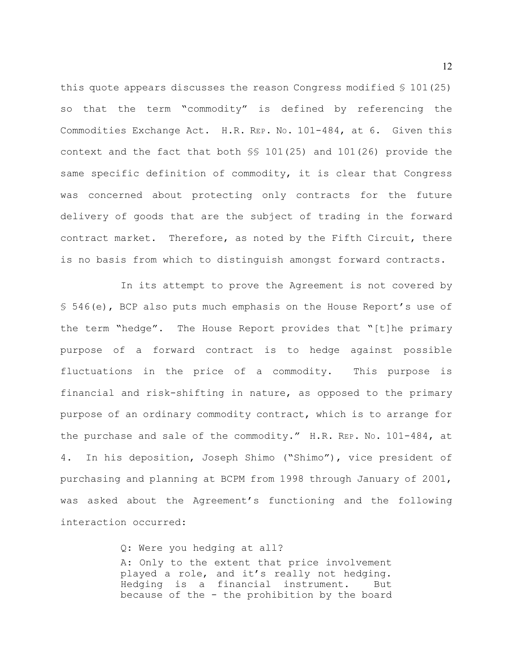this quote appears discusses the reason Congress modified § 101(25) so that the term "commodity" is defined by referencing the Commodities Exchange Act. H.R. REP. NO. 101-484, at 6. Given this context and the fact that both §§ 101(25) and 101(26) provide the same specific definition of commodity, it is clear that Congress was concerned about protecting only contracts for the future delivery of goods that are the subject of trading in the forward contract market. Therefore, as noted by the Fifth Circuit, there is no basis from which to distinguish amongst forward contracts.

In its attempt to prove the Agreement is not covered by § 546(e), BCP also puts much emphasis on the House Report's use of the term "hedge". The House Report provides that "[t]he primary purpose of a forward contract is to hedge against possible fluctuations in the price of a commodity. This purpose is financial and risk-shifting in nature, as opposed to the primary purpose of an ordinary commodity contract, which is to arrange for the purchase and sale of the commodity." H.R. REP. NO. 101-484, at 4. In his deposition, Joseph Shimo ("Shimo"), vice president of purchasing and planning at BCPM from 1998 through January of 2001, was asked about the Agreement's functioning and the following interaction occurred:

> Q: Were you hedging at all? A: Only to the extent that price involvement played a role, and it's really not hedging. Hedging is a financial instrument. But because of the - the prohibition by the board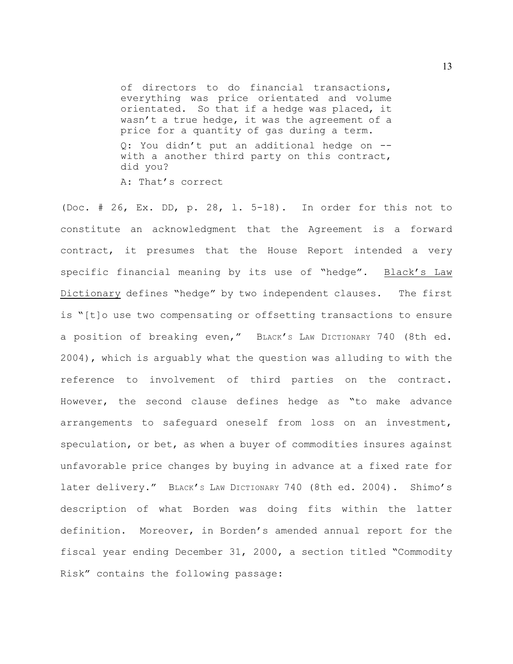of directors to do financial transactions, everything was price orientated and volume orientated. So that if a hedge was placed, it wasn't a true hedge, it was the agreement of a price for a quantity of gas during a term. Q: You didn't put an additional hedge on - with a another third party on this contract, did you? A: That's correct

(Doc. # 26, Ex. DD, p. 28, l. 5-18). In order for this not to constitute an acknowledgment that the Agreement is a forward contract, it presumes that the House Report intended a very specific financial meaning by its use of "hedge". Black's Law Dictionary defines "hedge" by two independent clauses. The first is "[t]o use two compensating or offsetting transactions to ensure a position of breaking even," BLACK'S LAW DICTIONARY 740 (8th ed. 2004), which is arguably what the question was alluding to with the reference to involvement of third parties on the contract. However, the second clause defines hedge as "to make advance arrangements to safeguard oneself from loss on an investment, speculation, or bet, as when a buyer of commodities insures against unfavorable price changes by buying in advance at a fixed rate for later delivery." BLACK's LAW DICTIONARY 740 (8th ed. 2004). Shimo's description of what Borden was doing fits within the latter definition. Moreover, in Borden's amended annual report for the fiscal year ending December 31, 2000, a section titled "Commodity Risk" contains the following passage: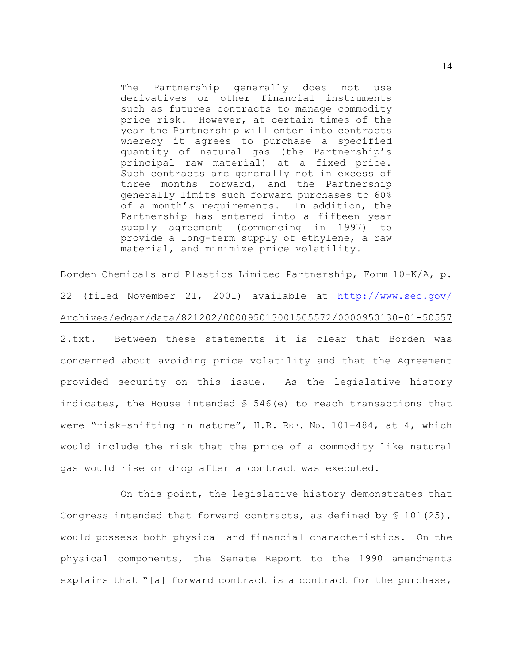The Partnership generally does not use derivatives or other financial instruments such as futures contracts to manage commodity price risk. However, at certain times of the year the Partnership will enter into contracts whereby it agrees to purchase a specified quantity of natural gas (the Partnership's principal raw material) at a fixed price. Such contracts are generally not in excess of three months forward, and the Partnership generally limits such forward purchases to 60% of a month's requirements. In addition, the Partnership has entered into a fifteen year supply agreement (commencing in 1997) to provide a long-term supply of ethylene, a raw material, and minimize price volatility.

Borden Chemicals and Plastics Limited Partnership, Form 10-K/A, p. 22 (filed November 21, 2001) available at <http://www.sec.gov/> Archives/edgar/data/821202/000095013001505572/0000950130-01-50557 2.txt. Between these statements it is clear that Borden was concerned about avoiding price volatility and that the Agreement provided security on this issue. As the legislative history indicates, the House intended  $\frac{1}{5}$  546(e) to reach transactions that were "risk-shifting in nature", H.R. REP. No. 101-484, at 4, which would include the risk that the price of a commodity like natural gas would rise or drop after a contract was executed.

On this point, the legislative history demonstrates that Congress intended that forward contracts, as defined by  $\frac{1}{5}$  101(25), would possess both physical and financial characteristics. On the physical components, the Senate Report to the 1990 amendments explains that "[a] forward contract is a contract for the purchase,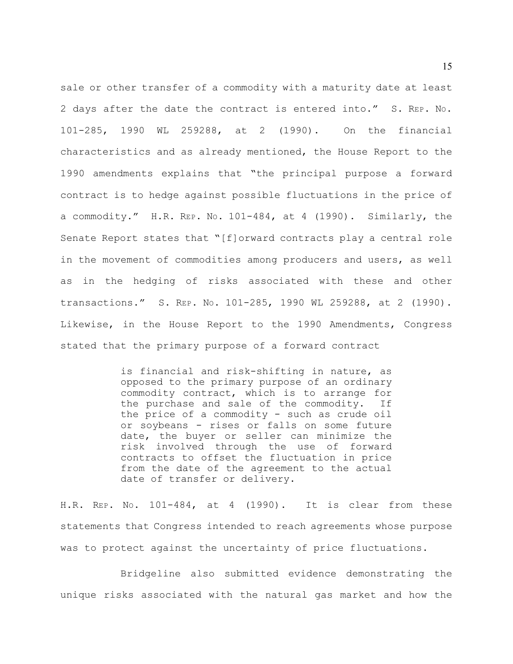sale or other transfer of a commodity with a maturity date at least 2 days after the date the contract is entered into." S. REP. NO. 101-285, 1990 WL 259288, at 2 (1990). On the financial characteristics and as already mentioned, the House Report to the 1990 amendments explains that "the principal purpose a forward contract is to hedge against possible fluctuations in the price of a commodity." H.R. REP. NO. 101-484, at 4 (1990). Similarly, the Senate Report states that "[f]orward contracts play a central role in the movement of commodities among producers and users, as well as in the hedging of risks associated with these and other transactions." S. REP. NO. 101-285, 1990 WL 259288, at 2 (1990). Likewise, in the House Report to the 1990 Amendments, Congress stated that the primary purpose of a forward contract

> is financial and risk-shifting in nature, as opposed to the primary purpose of an ordinary commodity contract, which is to arrange for the purchase and sale of the commodity. If the price of a commodity - such as crude oil or soybeans - rises or falls on some future date, the buyer or seller can minimize the risk involved through the use of forward contracts to offset the fluctuation in price from the date of the agreement to the actual date of transfer or delivery.

H.R. REP. NO. 101-484, at 4 (1990). It is clear from these statements that Congress intended to reach agreements whose purpose was to protect against the uncertainty of price fluctuations.

Bridgeline also submitted evidence demonstrating the unique risks associated with the natural gas market and how the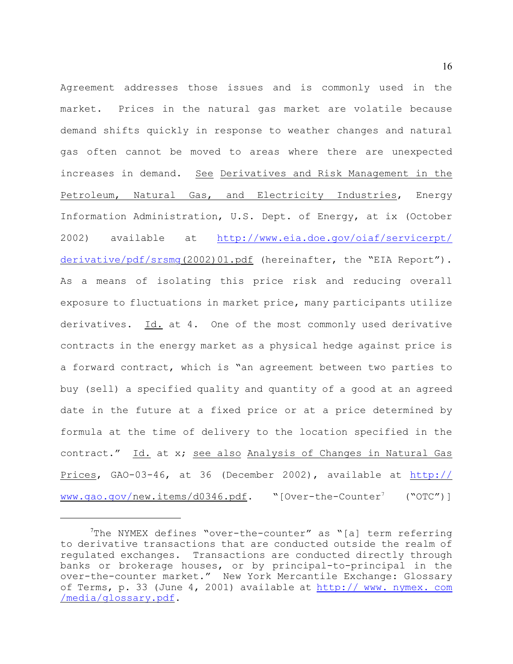Agreement addresses those issues and is commonly used in the market. Prices in the natural gas market are volatile because demand shifts quickly in response to weather changes and natural gas often cannot be moved to areas where there are unexpected increases in demand. See Derivatives and Risk Management in the Petroleum, Natural Gas, and Electricity Industries, Energy Information Administration, U.S. Dept. of Energy, at ix (October 2002) available at [http://www.eia.doe.gov/oiaf/servicerpt/](http://www.eia.doe.gov/oiaf/servicerpt/derivative/pdf/srsmg) derivative/pdf/srsmq(2002)01.pdf (hereinafter, the "EIA Report"). As a means of isolating this price risk and reducing overall exposure to fluctuations in market price, many participants utilize derivatives. Id. at 4. One of the most commonly used derivative contracts in the energy market as a physical hedge against price is a forward contract, which is "an agreement between two parties to buy (sell) a specified quality and quantity of a good at an agreed date in the future at a fixed price or at a price determined by formula at the time of delivery to the location specified in the contract." Id. at x; see also Analysis of Changes in Natural Gas Prices, GAO-03-46, at 36 (December 2002), available at <http://> [www.gao.gov/](http://www.gao.gov/)new.items/d0346.pdf. "[Over-the-Counter' ("OTC")]

The NYMEX defines "over-the-counter" as "[a] term referring to derivative transactions that are conducted outside the realm of regulated exchanges. Transactions are conducted directly through banks or brokerage houses, or by principal-to-principal in the over-the-counter market." New York Mercantile Exchange: Glossary of Terms, p. 33 (June 4, 2001) available at [http:// www. nymex. com](http://www.nymex.com/media/glossary.pdf.) [/media/glossary.pdf](http://www.nymex.com/media/glossary.pdf.).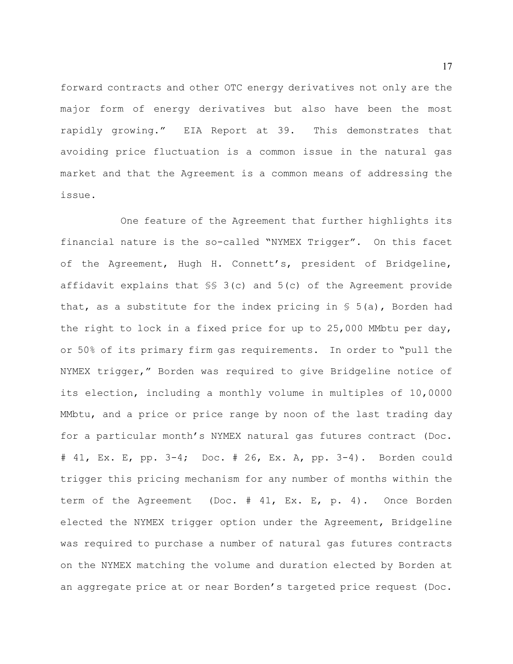forward contracts and other OTC energy derivatives not only are the major form of energy derivatives but also have been the most rapidly growing." EIA Report at 39. This demonstrates that avoiding price fluctuation is a common issue in the natural gas market and that the Agreement is a common means of addressing the issue.

One feature of the Agreement that further highlights its financial nature is the so-called "NYMEX Trigger". On this facet of the Agreement, Hugh H. Connett's, president of Bridgeline, affidavit explains that  $\S$  3(c) and 5(c) of the Agreement provide that, as a substitute for the index pricing in  $\S$  5(a), Borden had the right to lock in a fixed price for up to 25,000 MMbtu per day, or 50% of its primary firm gas requirements. In order to "pull the NYMEX trigger," Borden was required to give Bridgeline notice of its election, including a monthly volume in multiples of 10,0000 MMbtu, and a price or price range by noon of the last trading day for a particular month's NYMEX natural gas futures contract (Doc. # 41, Ex. E, pp. 3-4; Doc. # 26, Ex. A, pp. 3-4). Borden could trigger this pricing mechanism for any number of months within the term of the Agreement (Doc. # 41, Ex. E, p. 4). Once Borden elected the NYMEX trigger option under the Agreement, Bridgeline was required to purchase a number of natural gas futures contracts on the NYMEX matching the volume and duration elected by Borden at an aggregate price at or near Borden's targeted price request (Doc.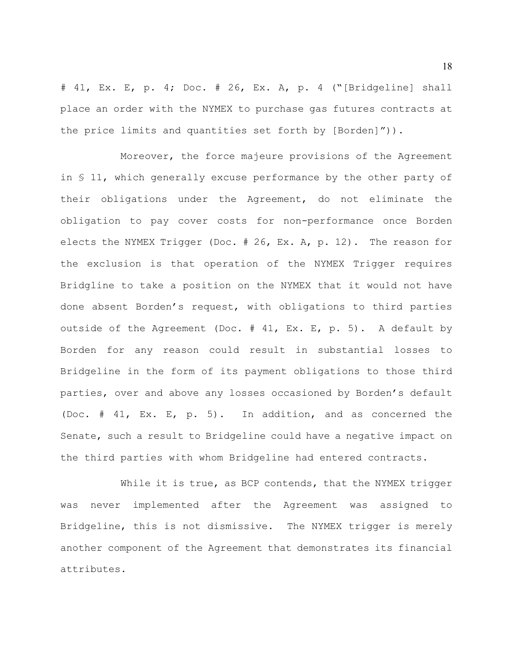# 41, Ex. E, p. 4; Doc. # 26, Ex. A, p. 4 ("[Bridgeline] shall place an order with the NYMEX to purchase gas futures contracts at the price limits and quantities set forth by [Borden]")).

Moreover, the force majeure provisions of the Agreement in § 11, which generally excuse performance by the other party of their obligations under the Agreement, do not eliminate the obligation to pay cover costs for non-performance once Borden elects the NYMEX Trigger (Doc. # 26, Ex. A, p. 12). The reason for the exclusion is that operation of the NYMEX Trigger requires Bridgline to take a position on the NYMEX that it would not have done absent Borden's request, with obligations to third parties outside of the Agreement (Doc. # 41, Ex. E, p. 5). A default by Borden for any reason could result in substantial losses to Bridgeline in the form of its payment obligations to those third parties, over and above any losses occasioned by Borden's default (Doc. # 41, Ex. E, p. 5). In addition, and as concerned the Senate, such a result to Bridgeline could have a negative impact on the third parties with whom Bridgeline had entered contracts.

While it is true, as BCP contends, that the NYMEX trigger was never implemented after the Agreement was assigned to Bridgeline, this is not dismissive. The NYMEX trigger is merely another component of the Agreement that demonstrates its financial attributes.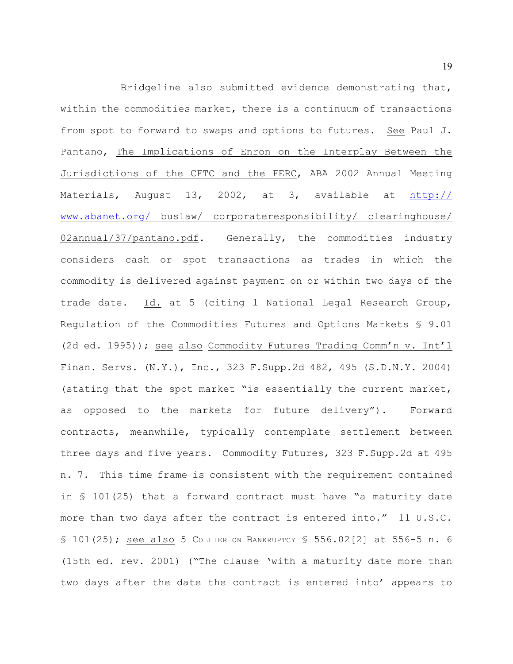Bridgeline also submitted evidence demonstrating that, within the commodities market, there is a continuum of transactions from spot to forward to swaps and options to futures. See Paul J. Pantano, The Implications of Enron on the Interplay Between the Jurisdictions of the CFTC and the FERC, ABA 2002 Annual Meeting Materials, August 13, 2002, at 3, available at [http://](http://www.abanet.org/) [www.abanet.org/](http://www.abanet.org/) buslaw/ corporateresponsibility/ clearinghouse/ 02annual/37/pantano.pdf. Generally, the commodities industry considers cash or spot transactions as trades in which the commodity is delivered against payment on or within two days of the trade date. Id. at 5 (citing 1 National Legal Research Group, Regulation of the Commodities Futures and Options Markets § 9.01 (2d ed. 1995)); see also Commodity Futures Trading Comm'n v. Int'l Finan. Servs. (N.Y.), Inc., 323 F.Supp.2d 482, 495 (S.D.N.Y. 2004) (stating that the spot market "is essentially the current market, as opposed to the markets for future delivery"). Forward contracts, meanwhile, typically contemplate settlement between three days and five years. Commodity Futures, 323 F.Supp.2d at 495 n. 7. This time frame is consistent with the requirement contained in § 101(25) that a forward contract must have "a maturity date more than two days after the contract is entered into." 11 U.S.C. § 101(25); see also 5 COLLIER ON BANKRUPTCY § 556.02[2] at 556-5 n. 6 (15th ed. rev. 2001) ("The clause 'with a maturity date more than two days after the date the contract is entered into' appears to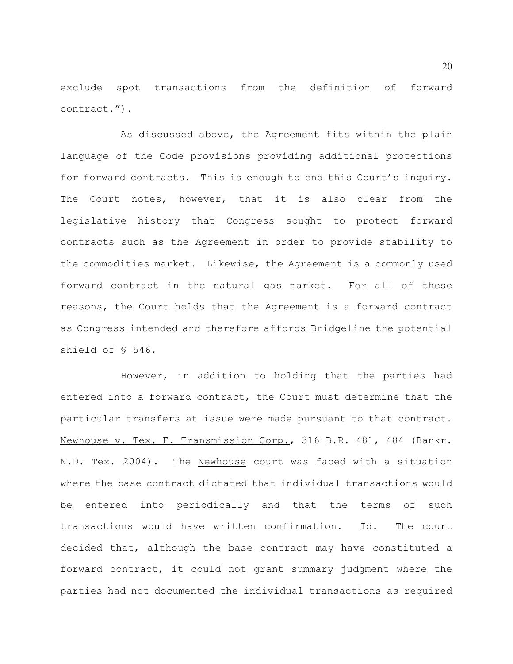exclude spot transactions from the definition of forward contract.").

As discussed above, the Agreement fits within the plain language of the Code provisions providing additional protections for forward contracts. This is enough to end this Court's inquiry. The Court notes, however, that it is also clear from the legislative history that Congress sought to protect forward contracts such as the Agreement in order to provide stability to the commodities market. Likewise, the Agreement is a commonly used forward contract in the natural gas market. For all of these reasons, the Court holds that the Agreement is a forward contract as Congress intended and therefore affords Bridgeline the potential shield of § 546.

However, in addition to holding that the parties had entered into a forward contract, the Court must determine that the particular transfers at issue were made pursuant to that contract. Newhouse v. Tex. E. Transmission Corp., 316 B.R. 481, 484 (Bankr. N.D. Tex. 2004). The Newhouse court was faced with a situation where the base contract dictated that individual transactions would be entered into periodically and that the terms of such transactions would have written confirmation. Id. The court decided that, although the base contract may have constituted a forward contract, it could not grant summary judgment where the parties had not documented the individual transactions as required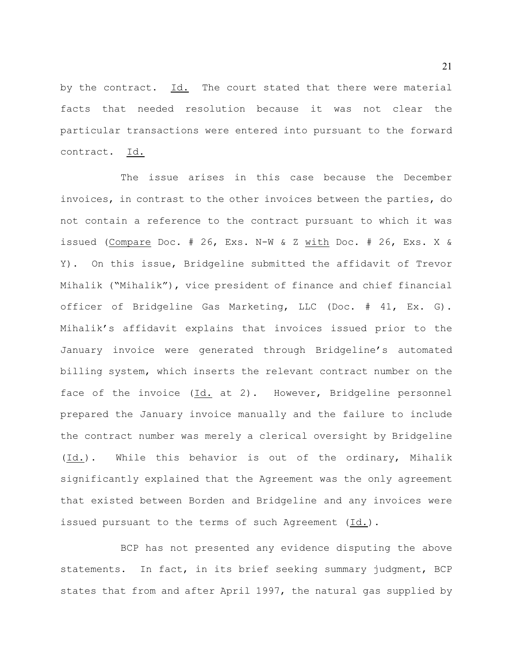by the contract. Id. The court stated that there were material facts that needed resolution because it was not clear the particular transactions were entered into pursuant to the forward contract. Id.

The issue arises in this case because the December invoices, in contrast to the other invoices between the parties, do not contain a reference to the contract pursuant to which it was issued (Compare Doc. # 26, Exs. N-W & Z with Doc. # 26, Exs. X & Y). On this issue, Bridgeline submitted the affidavit of Trevor Mihalik ("Mihalik"), vice president of finance and chief financial officer of Bridgeline Gas Marketing, LLC (Doc. # 41, Ex. G). Mihalik's affidavit explains that invoices issued prior to the January invoice were generated through Bridgeline's automated billing system, which inserts the relevant contract number on the face of the invoice (Id. at 2). However, Bridgeline personnel prepared the January invoice manually and the failure to include the contract number was merely a clerical oversight by Bridgeline (Id.). While this behavior is out of the ordinary, Mihalik significantly explained that the Agreement was the only agreement that existed between Borden and Bridgeline and any invoices were issued pursuant to the terms of such Agreement (Id.).

BCP has not presented any evidence disputing the above statements. In fact, in its brief seeking summary judgment, BCP states that from and after April 1997, the natural gas supplied by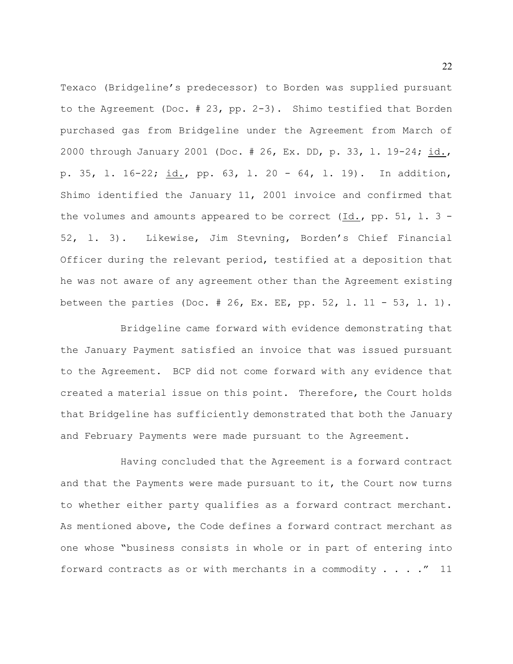Texaco (Bridgeline's predecessor) to Borden was supplied pursuant to the Agreement (Doc. # 23, pp. 2-3). Shimo testified that Borden purchased gas from Bridgeline under the Agreement from March of 2000 through January 2001 (Doc. # 26, Ex. DD, p. 33, l. 19-24; id., p. 35, l. 16-22; id., pp. 63, l. 20 - 64, l. 19). In addition, Shimo identified the January 11, 2001 invoice and confirmed that the volumes and amounts appeared to be correct  $(Id., pp. 51, 1.3 -$ 52, l. 3). Likewise, Jim Stevning, Borden's Chief Financial Officer during the relevant period, testified at a deposition that he was not aware of any agreement other than the Agreement existing between the parties (Doc. # 26, Ex. EE, pp. 52, l. 11 - 53, l. 1).

Bridgeline came forward with evidence demonstrating that the January Payment satisfied an invoice that was issued pursuant to the Agreement. BCP did not come forward with any evidence that created a material issue on this point. Therefore, the Court holds that Bridgeline has sufficiently demonstrated that both the January and February Payments were made pursuant to the Agreement.

Having concluded that the Agreement is a forward contract and that the Payments were made pursuant to it, the Court now turns to whether either party qualifies as a forward contract merchant. As mentioned above, the Code defines a forward contract merchant as one whose "business consists in whole or in part of entering into forward contracts as or with merchants in a commodity  $\ldots$  ...  $\llcorner$  11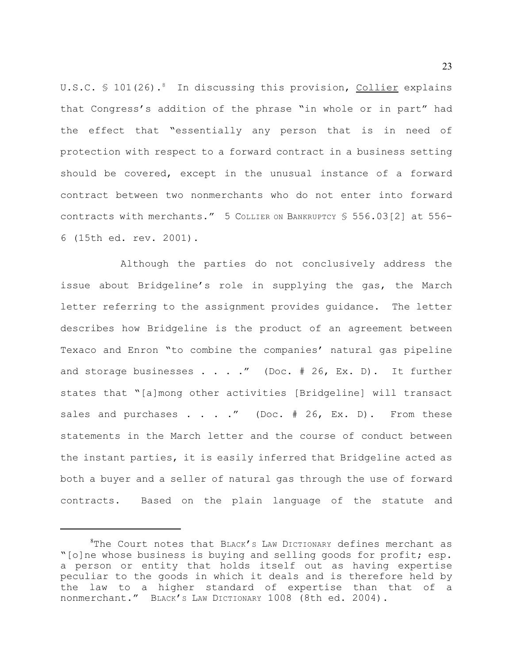U.S.C.  $\frac{101(26)}{8}$  In discussing this provision, Collier explains that Congress's addition of the phrase "in whole or in part" had the effect that "essentially any person that is in need of protection with respect to a forward contract in a business setting should be covered, except in the unusual instance of a forward contract between two nonmerchants who do not enter into forward contracts with merchants." 5 COLLIER ON BANKRUPTCY § 556.03[2] at 556- 6 (15th ed. rev. 2001).

Although the parties do not conclusively address the issue about Bridgeline's role in supplying the gas, the March letter referring to the assignment provides guidance. The letter describes how Bridgeline is the product of an agreement between Texaco and Enron "to combine the companies' natural gas pipeline and storage businesses . . . ." (Doc.  $# 26$ , Ex. D). It further states that "[a]mong other activities [Bridgeline] will transact sales and purchases . . . ." (Doc.  $# 26$ , Ex. D). From these statements in the March letter and the course of conduct between the instant parties, it is easily inferred that Bridgeline acted as both a buyer and a seller of natural gas through the use of forward contracts. Based on the plain language of the statute and

 ${}^{8}$ The Court notes that BLACK's LAW DICTIONARY defines merchant as "[o]ne whose business is buying and selling goods for profit; esp. a person or entity that holds itself out as having expertise peculiar to the goods in which it deals and is therefore held by the law to a higher standard of expertise than that of a nonmerchant." BLACK'S LAW DICTIONARY 1008 (8th ed. 2004).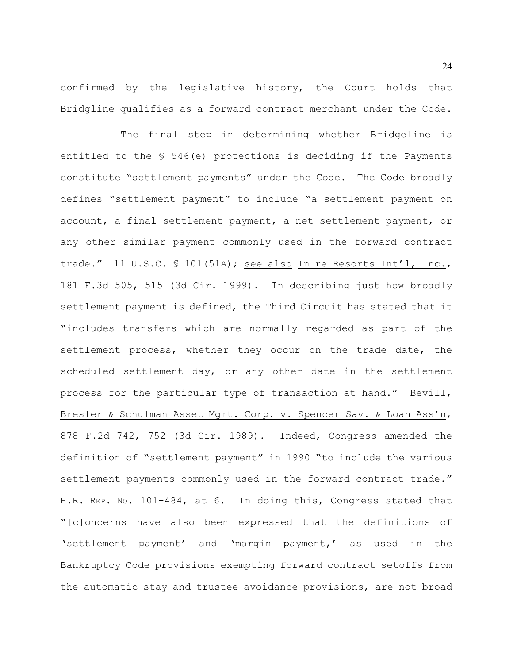confirmed by the legislative history, the Court holds that Bridgline qualifies as a forward contract merchant under the Code.

The final step in determining whether Bridgeline is entitled to the  $$546(e)$  protections is deciding if the Payments constitute "settlement payments" under the Code. The Code broadly defines "settlement payment" to include "a settlement payment on account, a final settlement payment, a net settlement payment, or any other similar payment commonly used in the forward contract trade." 11 U.S.C. § 101(51A); see also In re Resorts Int'l, Inc., 181 F.3d 505, 515 (3d Cir. 1999). In describing just how broadly settlement payment is defined, the Third Circuit has stated that it "includes transfers which are normally regarded as part of the settlement process, whether they occur on the trade date, the scheduled settlement day, or any other date in the settlement process for the particular type of transaction at hand." Bevill, Bresler & Schulman Asset Mgmt. Corp. v. Spencer Sav. & Loan Ass'n, 878 F.2d 742, 752 (3d Cir. 1989). Indeed, Congress amended the definition of "settlement payment" in 1990 "to include the various settlement payments commonly used in the forward contract trade." H.R. REP. NO. 101-484, at 6. In doing this, Congress stated that "[c]oncerns have also been expressed that the definitions of 'settlement payment' and 'margin payment,' as used in the Bankruptcy Code provisions exempting forward contract setoffs from the automatic stay and trustee avoidance provisions, are not broad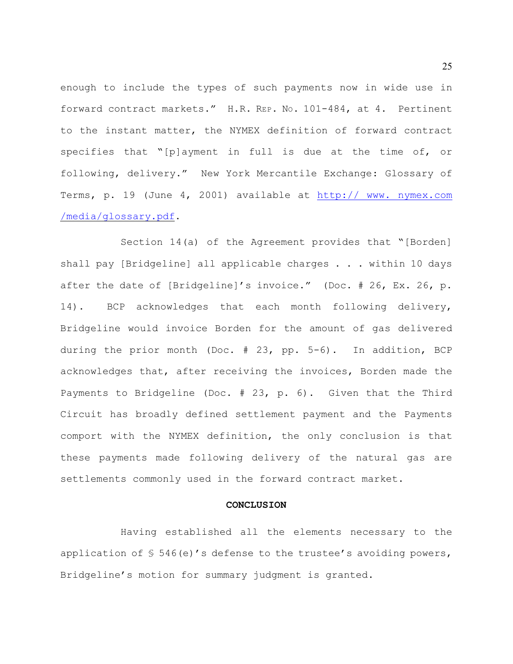enough to include the types of such payments now in wide use in forward contract markets." H.R. REP. NO. 101-484, at 4. Pertinent to the instant matter, the NYMEX definition of forward contract specifies that "[p]ayment in full is due at the time of, or following, delivery." New York Mercantile Exchange: Glossary of Terms, p. 19 (June 4, 2001) available at [http:// www. nymex.com](http://www.nymex.com/media/glossary.pdf.) [/media/glossary.pdf](http://www.nymex.com/media/glossary.pdf.).

Section 14(a) of the Agreement provides that "[Borden] shall pay [Bridgeline] all applicable charges . . . within 10 days after the date of [Bridgeline]'s invoice." (Doc. # 26, Ex. 26, p. 14). BCP acknowledges that each month following delivery, Bridgeline would invoice Borden for the amount of gas delivered during the prior month (Doc. # 23, pp. 5-6). In addition, BCP acknowledges that, after receiving the invoices, Borden made the Payments to Bridgeline (Doc. # 23, p. 6). Given that the Third Circuit has broadly defined settlement payment and the Payments comport with the NYMEX definition, the only conclusion is that these payments made following delivery of the natural gas are settlements commonly used in the forward contract market.

#### **CONCLUSION**

Having established all the elements necessary to the application of  $\frac{1}{5}$  546(e)'s defense to the trustee's avoiding powers, Bridgeline's motion for summary judgment is granted.